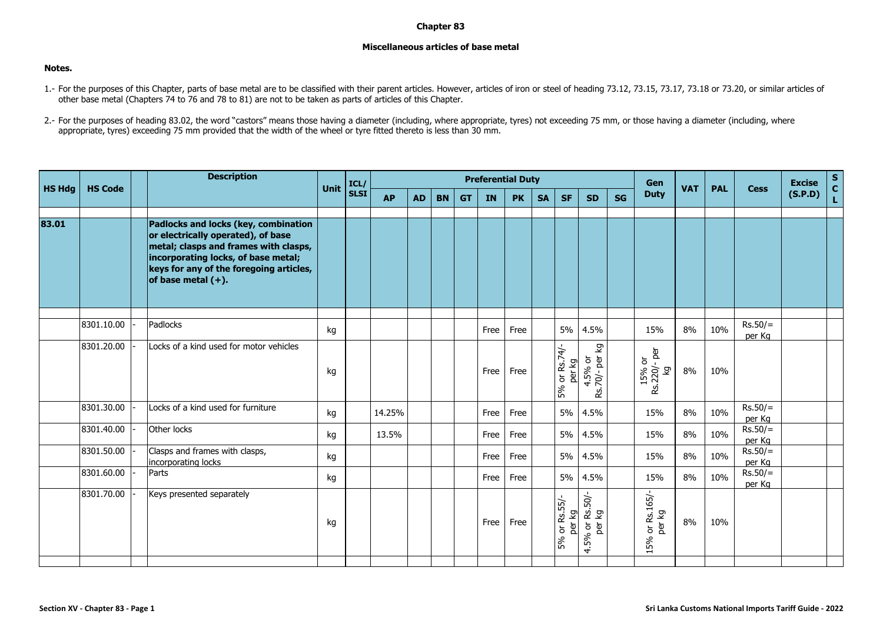## **Chapter 83**

## **Miscellaneous articles of base metal**

## **Notes.**

- 1.- For the purposes of this Chapter, parts of base metal are to be classified with their parent articles. However, articles of iron or steel of heading 73.12, 73.15, 73.17, 73.18 or 73.20, or similar articles of other base metal (Chapters 74 to 76 and 78 to 81) are not to be taken as parts of articles of this Chapter.
- 2.- For the purposes of heading 83.02, the word "castors" means those having a diameter (including, where appropriate, tyres) not exceeding 75 mm, or those having a diameter (including, where appropriate, tyres) exceeding 75 mm provided that the width of the wheel or tyre fitted thereto is less than 30 mm.

|               |                | <b>Description</b>                                                                                                                                                                                                             |             | ICL/        | <b>Preferential Duty</b> |           |           |           |      |           |           |                         |                                  |           | <b>Gen</b>                        |            |            |                     | <b>Excise</b> | $\mathbf S$<br>$\mathbf{c}$ |
|---------------|----------------|--------------------------------------------------------------------------------------------------------------------------------------------------------------------------------------------------------------------------------|-------------|-------------|--------------------------|-----------|-----------|-----------|------|-----------|-----------|-------------------------|----------------------------------|-----------|-----------------------------------|------------|------------|---------------------|---------------|-----------------------------|
| <b>HS Hdg</b> | <b>HS Code</b> |                                                                                                                                                                                                                                | <b>Unit</b> | <b>SLSI</b> | <b>AP</b>                | <b>AD</b> | <b>BN</b> | <b>GT</b> | IN   | <b>PK</b> | <b>SA</b> | <b>SF</b>               | <b>SD</b>                        | <b>SG</b> | <b>Duty</b>                       | <b>VAT</b> | <b>PAL</b> | <b>Cess</b>         | (S.P.D)       | L.                          |
|               |                |                                                                                                                                                                                                                                |             |             |                          |           |           |           |      |           |           |                         |                                  |           |                                   |            |            |                     |               |                             |
| 83.01         |                | Padlocks and locks (key, combination<br>or electrically operated), of base<br>metal; clasps and frames with clasps,<br>incorporating locks, of base metal;<br>keys for any of the foregoing articles,<br>of base metal $(+)$ . |             |             |                          |           |           |           |      |           |           |                         |                                  |           |                                   |            |            |                     |               |                             |
|               |                |                                                                                                                                                                                                                                |             |             |                          |           |           |           |      |           |           |                         |                                  |           |                                   |            |            |                     |               |                             |
|               | 8301.10.00     | Padlocks                                                                                                                                                                                                                       | kg          |             |                          |           |           |           | Free | Free      |           | 5%                      | 4.5%                             |           | 15%                               | 8%         | 10%        | $Rs.50/=$<br>per Kg |               |                             |
|               | 8301.20.00     | Locks of a kind used for motor vehicles                                                                                                                                                                                        | kg          |             |                          |           |           |           | Free | Free      |           | 5% or Rs.74/-<br>per kg | 4.5% or<br>Rs.70/- per kg        |           | er.<br>15% or<br>Rs.220/- p<br>Σò | 8%         | 10%        |                     |               |                             |
|               | 8301.30.00     | Locks of a kind used for furniture                                                                                                                                                                                             | kg          |             | 14.25%                   |           |           |           | Free | Free      |           | 5%                      | 4.5%                             |           | 15%                               | 8%         | 10%        | $Rs.50/=$<br>per Kg |               |                             |
|               | 8301.40.00     | Other locks                                                                                                                                                                                                                    | kg          |             | 13.5%                    |           |           |           | Free | Free      |           | 5%                      | 4.5%                             |           | 15%                               | 8%         | 10%        | $Rs.50/=$<br>per Kg |               |                             |
|               | 8301.50.00     | Clasps and frames with clasps,<br>incorporating locks                                                                                                                                                                          | kg          |             |                          |           |           |           | Free | Free      |           | 5%                      | 4.5%                             |           | 15%                               | 8%         | 10%        | $Rs.50/=$<br>per Kg |               |                             |
|               | 8301.60.00     | Parts                                                                                                                                                                                                                          | kg          |             |                          |           |           |           | Free | Free      |           | 5%                      | 4.5%                             |           | 15%                               | 8%         | 10%        | $Rs.50/=$<br>per Kg |               |                             |
|               | 8301.70.00     | Keys presented separately                                                                                                                                                                                                      | kg          |             |                          |           |           |           | Free | Free      |           | 5% or Rs.55/-<br>per kg | $6$ or Rs.50/-<br>per kg<br>4.5% |           | or Rs.165/-<br>per kg<br>15%      | 8%         | 10%        |                     |               |                             |
|               |                |                                                                                                                                                                                                                                |             |             |                          |           |           |           |      |           |           |                         |                                  |           |                                   |            |            |                     |               |                             |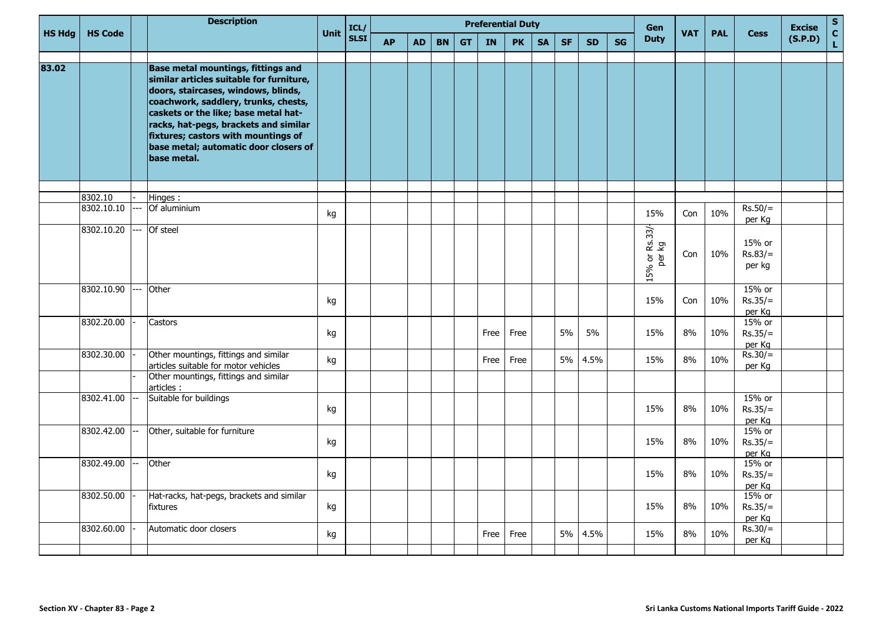|               |                |     | <b>Description</b>                                                                                                                                                                                                                                                                                                                                   | Unit | ICL/        | <b>Preferential Duty</b><br>Gen<br><b>VAT</b> |           |           |           |      |           |           |           |           |    |                                |     |            | <b>Excise</b>                 | $\mathbf{s}$ |               |
|---------------|----------------|-----|------------------------------------------------------------------------------------------------------------------------------------------------------------------------------------------------------------------------------------------------------------------------------------------------------------------------------------------------------|------|-------------|-----------------------------------------------|-----------|-----------|-----------|------|-----------|-----------|-----------|-----------|----|--------------------------------|-----|------------|-------------------------------|--------------|---------------|
| <b>HS Hdg</b> | <b>HS Code</b> |     |                                                                                                                                                                                                                                                                                                                                                      |      | <b>SLSI</b> | <b>AP</b>                                     | <b>AD</b> | <b>BN</b> | <b>GT</b> | IN   | <b>PK</b> | <b>SA</b> | <b>SF</b> | <b>SD</b> | SG | <b>Duty</b>                    |     | <b>PAL</b> | <b>Cess</b>                   | (S.P.D)      | $\frac{c}{L}$ |
| 83.02         |                |     | <b>Base metal mountings, fittings and</b><br>similar articles suitable for furniture,<br>doors, staircases, windows, blinds,<br>coachwork, saddlery, trunks, chests,<br>caskets or the like; base metal hat-<br>racks, hat-pegs, brackets and similar<br>fixtures; castors with mountings of<br>base metal; automatic door closers of<br>base metal. |      |             |                                               |           |           |           |      |           |           |           |           |    |                                |     |            |                               |              |               |
|               | 8302.10        |     | Hinges:                                                                                                                                                                                                                                                                                                                                              |      |             |                                               |           |           |           |      |           |           |           |           |    |                                |     |            |                               |              |               |
|               | 8302.10.10     |     | Of aluminium                                                                                                                                                                                                                                                                                                                                         | kg   |             |                                               |           |           |           |      |           |           |           |           |    | 15%                            | Con | 10%        | $Rs.50/=$<br>per Kg           |              |               |
|               | 8302.10.20     |     | Of steel                                                                                                                                                                                                                                                                                                                                             |      |             |                                               |           |           |           |      |           |           |           |           |    | Rs.33/-<br>kg<br>15% or<br>per | Con | 10%        | 15% or<br>$Rs.83/=$<br>per kg |              |               |
|               | 8302.10.90     | --- | Other                                                                                                                                                                                                                                                                                                                                                | kg   |             |                                               |           |           |           |      |           |           |           |           |    | 15%                            | Con | 10%        | 15% or<br>$Rs.35/=$<br>per Kg |              |               |
|               | 8302.20.00     |     | Castors                                                                                                                                                                                                                                                                                                                                              | kg   |             |                                               |           |           |           | Free | Free      |           | 5%        | 5%        |    | 15%                            | 8%  | 10%        | 15% or<br>$Rs.35/=$<br>per Kg |              |               |
|               | 8302.30.00     |     | Other mountings, fittings and similar<br>articles suitable for motor vehicles                                                                                                                                                                                                                                                                        | kg   |             |                                               |           |           |           | Free | Free      |           | 5%        | 4.5%      |    | 15%                            | 8%  | 10%        | $Rs.30/=$<br>per Kg           |              |               |
|               |                |     | Other mountings, fittings and similar<br>articles :                                                                                                                                                                                                                                                                                                  |      |             |                                               |           |           |           |      |           |           |           |           |    |                                |     |            |                               |              |               |
|               | 8302.41.00     |     | Suitable for buildings                                                                                                                                                                                                                                                                                                                               | kg   |             |                                               |           |           |           |      |           |           |           |           |    | 15%                            | 8%  | 10%        | 15% or<br>$Rs.35/=$<br>per Kg |              |               |
|               | 8302.42.00     |     | Other, suitable for furniture                                                                                                                                                                                                                                                                                                                        | kg   |             |                                               |           |           |           |      |           |           |           |           |    | 15%                            | 8%  | 10%        | 15% or<br>$Rs.35/=$<br>per Kg |              |               |
|               | 8302.49.00     | --  | Other                                                                                                                                                                                                                                                                                                                                                | kg   |             |                                               |           |           |           |      |           |           |           |           |    | 15%                            | 8%  | 10%        | 15% or<br>$Rs.35/=$<br>per Kg |              |               |
|               | 8302.50.00     |     | Hat-racks, hat-pegs, brackets and similar<br>fixtures                                                                                                                                                                                                                                                                                                | kg   |             |                                               |           |           |           |      |           |           |           |           |    | 15%                            | 8%  | 10%        | 15% or<br>$Rs.35/=$<br>per Kg |              |               |
|               | 8302.60.00     |     | Automatic door closers                                                                                                                                                                                                                                                                                                                               | kg   |             |                                               |           |           |           | Free | Free      |           | 5%        | 4.5%      |    | 15%                            | 8%  | 10%        | $Rs.30/=$<br>per Kg           |              |               |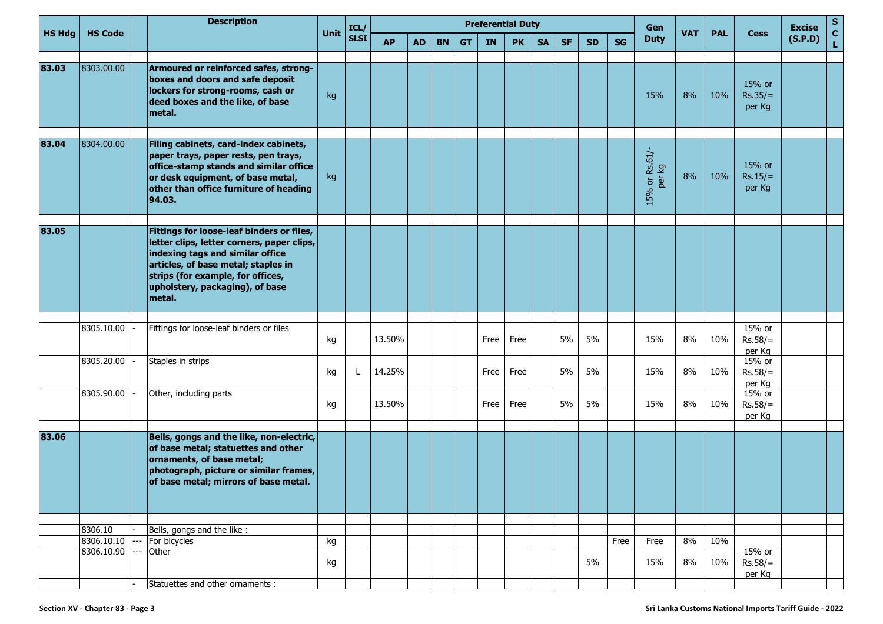|               |                | <b>Description</b>                                                                                                                                                                                                                                   |      | ICL/        | <b>Preferential Duty</b> |           |           |           |      |           |           |           |           |           | Gen                      |            |            | <b>Excise</b>                           | S       |                    |
|---------------|----------------|------------------------------------------------------------------------------------------------------------------------------------------------------------------------------------------------------------------------------------------------------|------|-------------|--------------------------|-----------|-----------|-----------|------|-----------|-----------|-----------|-----------|-----------|--------------------------|------------|------------|-----------------------------------------|---------|--------------------|
| <b>HS Hdg</b> | <b>HS Code</b> |                                                                                                                                                                                                                                                      | Unit | <b>SLSI</b> | <b>AP</b>                | <b>AD</b> | <b>BN</b> | <b>GT</b> | IN   | <b>PK</b> | <b>SA</b> | <b>SF</b> | <b>SD</b> | <b>SG</b> | <b>Duty</b>              | <b>VAT</b> | <b>PAL</b> | <b>Cess</b>                             | (S.P.D) | $\mathbf{C}$<br>L. |
| 83.03         | 8303.00.00     | Armoured or reinforced safes, strong-<br>boxes and doors and safe deposit<br>lockers for strong-rooms, cash or<br>deed boxes and the like, of base<br>metal.                                                                                         | kg   |             |                          |           |           |           |      |           |           |           |           |           | 15%                      | 8%         | 10%        | 15% or<br>$Rs.35/=$<br>per Kg           |         |                    |
| 83.04         | 8304.00.00     | Filing cabinets, card-index cabinets,<br>paper trays, paper rests, pen trays,<br>office-stamp stands and similar office<br>or desk equipment, of base metal,<br>other than office furniture of heading<br>94.03.                                     | kg   |             |                          |           |           |           |      |           |           |           |           |           | 15% or Rs.61/-<br>per kg | 8%         | 10%        | 15% or<br>$Rs.15/=$<br>per Kg           |         |                    |
| 83.05         |                | Fittings for loose-leaf binders or files,<br>letter clips, letter corners, paper clips,<br>indexing tags and similar office<br>articles, of base metal; staples in<br>strips (for example, for offices,<br>upholstery, packaging), of base<br>metal. |      |             |                          |           |           |           |      |           |           |           |           |           |                          |            |            |                                         |         |                    |
|               | 8305.10.00     | Fittings for loose-leaf binders or files                                                                                                                                                                                                             | kg   |             | 13.50%                   |           |           |           | Free | Free      |           | 5%        | 5%        |           | 15%                      | 8%         | 10%        | 15% or<br>$Rs.58/=$                     |         |                    |
|               | 8305.20.00     | Staples in strips                                                                                                                                                                                                                                    | kg   |             | 14.25%                   |           |           |           | Free | Free      |           | 5%        | 5%        |           | 15%                      | 8%         | 10%        | per Kg<br>15% or<br>$Rs.58/=$           |         |                    |
|               | 8305.90.00     | Other, including parts                                                                                                                                                                                                                               | kg   |             | 13.50%                   |           |           |           | Free | Free      |           | 5%        | 5%        |           | 15%                      | 8%         | 10%        | per Kg<br>15% or<br>$Rs.58/=$<br>per Kg |         |                    |
| 83.06         |                | Bells, gongs and the like, non-electric,<br>of base metal; statuettes and other<br>ornaments, of base metal;<br>photograph, picture or similar frames,<br>of base metal; mirrors of base metal.                                                      |      |             |                          |           |           |           |      |           |           |           |           |           |                          |            |            |                                         |         |                    |
|               | 8306.10        | Bells, gongs and the like:                                                                                                                                                                                                                           |      |             |                          |           |           |           |      |           |           |           |           |           |                          |            |            |                                         |         |                    |
|               | 8306.10.10     | For bicycles                                                                                                                                                                                                                                         | kg   |             |                          |           |           |           |      |           |           |           |           | Free      | Free                     | 8%         | 10%        |                                         |         |                    |
|               | 8306.10.90     | <br>Other                                                                                                                                                                                                                                            | kg   |             |                          |           |           |           |      |           |           |           | 5%        |           | 15%                      | 8%         | 10%        | 15% or<br>$Rs.58/=$<br>per Kg           |         |                    |
|               |                | Statuettes and other ornaments :                                                                                                                                                                                                                     |      |             |                          |           |           |           |      |           |           |           |           |           |                          |            |            |                                         |         |                    |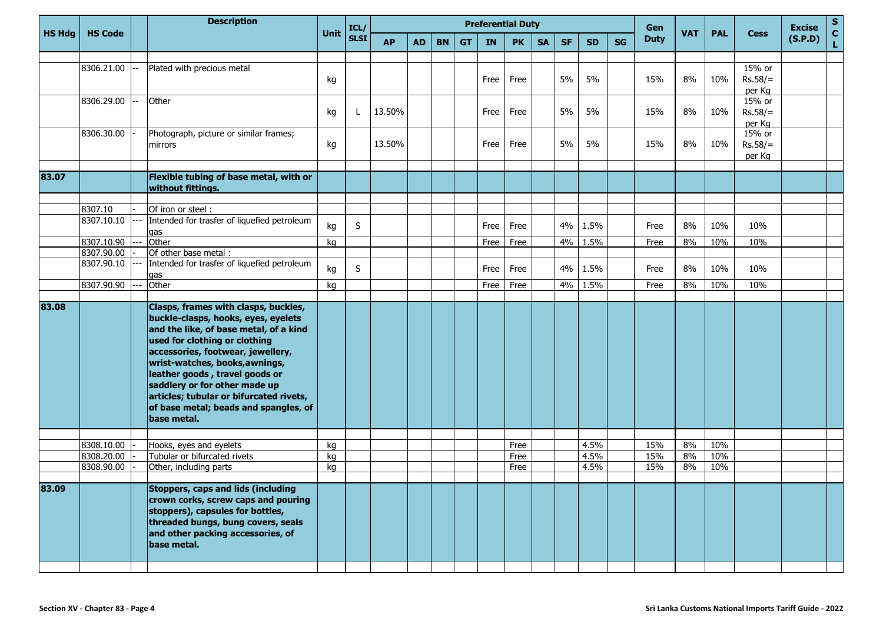|        |                       | <b>Description</b>                                                                                                                                                                                                                                                                                                                                                                                  |      | ICL/        | <b>Preferential Duty</b> |           |           |           |      |           |           |           |           | Gen       |             |            |            | <b>Excise</b>       | ${\sf s}$ |                   |
|--------|-----------------------|-----------------------------------------------------------------------------------------------------------------------------------------------------------------------------------------------------------------------------------------------------------------------------------------------------------------------------------------------------------------------------------------------------|------|-------------|--------------------------|-----------|-----------|-----------|------|-----------|-----------|-----------|-----------|-----------|-------------|------------|------------|---------------------|-----------|-------------------|
| HS Hdg | <b>HS Code</b>        |                                                                                                                                                                                                                                                                                                                                                                                                     | Unit | <b>SLSI</b> | <b>AP</b>                | <b>AD</b> | <b>BN</b> | <b>GT</b> | IN   | <b>PK</b> | <b>SA</b> | <b>SF</b> | <b>SD</b> | <b>SG</b> | <b>Duty</b> | <b>VAT</b> | <b>PAL</b> | <b>Cess</b>         | (S.P.D)   | $\mathbf c$<br>L. |
|        |                       |                                                                                                                                                                                                                                                                                                                                                                                                     |      |             |                          |           |           |           |      |           |           |           |           |           |             |            |            |                     |           |                   |
|        | 8306.21.00            | Plated with precious metal                                                                                                                                                                                                                                                                                                                                                                          |      |             |                          |           |           |           |      |           |           |           |           |           |             |            |            | 15% or              |           |                   |
|        |                       |                                                                                                                                                                                                                                                                                                                                                                                                     | kg   |             |                          |           |           |           | Free | Free      |           | 5%        | 5%        |           | 15%         | 8%         | 10%        | $Rs.58/=$<br>per Kg |           |                   |
|        | 8306.29.00            | Other                                                                                                                                                                                                                                                                                                                                                                                               |      |             |                          |           |           |           |      |           |           |           |           |           |             |            |            | 15% or              |           |                   |
|        |                       |                                                                                                                                                                                                                                                                                                                                                                                                     | kg   | L           | 13.50%                   |           |           |           | Free | Free      |           | 5%        | 5%        |           | 15%         | 8%         | 10%        | $Rs.58/=$           |           |                   |
|        |                       |                                                                                                                                                                                                                                                                                                                                                                                                     |      |             |                          |           |           |           |      |           |           |           |           |           |             |            |            | per Kg              |           |                   |
|        | 8306.30.00            | Photograph, picture or similar frames;                                                                                                                                                                                                                                                                                                                                                              |      |             |                          |           |           |           |      |           |           |           |           |           |             |            |            | 15% or              |           |                   |
|        |                       | mirrors                                                                                                                                                                                                                                                                                                                                                                                             | kg   |             | 13.50%                   |           |           |           | Free | Free      |           | 5%        | 5%        |           | 15%         | 8%         | 10%        | $Rs.58/=$           |           |                   |
|        |                       |                                                                                                                                                                                                                                                                                                                                                                                                     |      |             |                          |           |           |           |      |           |           |           |           |           |             |            |            | per Kg              |           |                   |
| 83.07  |                       | Flexible tubing of base metal, with or                                                                                                                                                                                                                                                                                                                                                              |      |             |                          |           |           |           |      |           |           |           |           |           |             |            |            |                     |           |                   |
|        |                       | without fittings.                                                                                                                                                                                                                                                                                                                                                                                   |      |             |                          |           |           |           |      |           |           |           |           |           |             |            |            |                     |           |                   |
|        |                       |                                                                                                                                                                                                                                                                                                                                                                                                     |      |             |                          |           |           |           |      |           |           |           |           |           |             |            |            |                     |           |                   |
|        | 8307.10<br>8307.10.10 | Of iron or steel :<br>Intended for trasfer of liquefied petroleum                                                                                                                                                                                                                                                                                                                                   |      |             |                          |           |           |           |      |           |           |           |           |           |             |            |            |                     |           |                   |
|        |                       | qas                                                                                                                                                                                                                                                                                                                                                                                                 | kg   | $\sf S$     |                          |           |           |           | Free | Free      |           | 4%        | 1.5%      |           | Free        | 8%         | 10%        | 10%                 |           |                   |
|        | 8307.10.90            | Other                                                                                                                                                                                                                                                                                                                                                                                               | kg   |             |                          |           |           |           | Free | Free      |           | 4%        | 1.5%      |           | Free        | 8%         | 10%        | 10%                 |           |                   |
|        | 8307.90.00            | Of other base metal :                                                                                                                                                                                                                                                                                                                                                                               |      |             |                          |           |           |           |      |           |           |           |           |           |             |            |            |                     |           |                   |
|        | 8307.90.10            | Intended for trasfer of liquefied petroleum                                                                                                                                                                                                                                                                                                                                                         | kg   | S           |                          |           |           |           | Free | Free      |           | 4%        | 1.5%      |           | Free        | 8%         | 10%        | 10%                 |           |                   |
|        |                       | qas                                                                                                                                                                                                                                                                                                                                                                                                 |      |             |                          |           |           |           |      |           |           |           |           |           |             |            |            |                     |           |                   |
|        | 8307.90.90            | Other                                                                                                                                                                                                                                                                                                                                                                                               | ka   |             |                          |           |           |           | Free | Free      |           | 4%        | 1.5%      |           | Free        | 8%         | 10%        | 10%                 |           |                   |
| 83.08  |                       | Clasps, frames with clasps, buckles,<br>buckle-clasps, hooks, eyes, eyelets<br>and the like, of base metal, of a kind<br>used for clothing or clothing<br>accessories, footwear, jewellery,<br>wrist-watches, books, awnings,<br>leather goods, travel goods or<br>saddlery or for other made up<br>articles; tubular or bifurcated rivets,<br>of base metal; beads and spangles, of<br>base metal. |      |             |                          |           |           |           |      |           |           |           |           |           |             |            |            |                     |           |                   |
|        | 8308.10.00            | Hooks, eyes and eyelets                                                                                                                                                                                                                                                                                                                                                                             | kg   |             |                          |           |           |           |      | Free      |           |           | 4.5%      |           | 15%         | 8%         | 10%        |                     |           |                   |
|        | 8308.20.00            | Tubular or bifurcated rivets                                                                                                                                                                                                                                                                                                                                                                        | kg   |             |                          |           |           |           |      | Free      |           |           | 4.5%      |           | 15%         | 8%         | 10%        |                     |           |                   |
|        | 8308.90.00            | Other, including parts                                                                                                                                                                                                                                                                                                                                                                              | kg   |             |                          |           |           |           |      | Free      |           |           | 4.5%      |           | 15%         | 8%         | 10%        |                     |           |                   |
| 83.09  |                       | <b>Stoppers, caps and lids (including</b><br>crown corks, screw caps and pouring<br>stoppers), capsules for bottles,<br>threaded bungs, bung covers, seals<br>and other packing accessories, of<br>base metal.                                                                                                                                                                                      |      |             |                          |           |           |           |      |           |           |           |           |           |             |            |            |                     |           |                   |
|        |                       |                                                                                                                                                                                                                                                                                                                                                                                                     |      |             |                          |           |           |           |      |           |           |           |           |           |             |            |            |                     |           |                   |